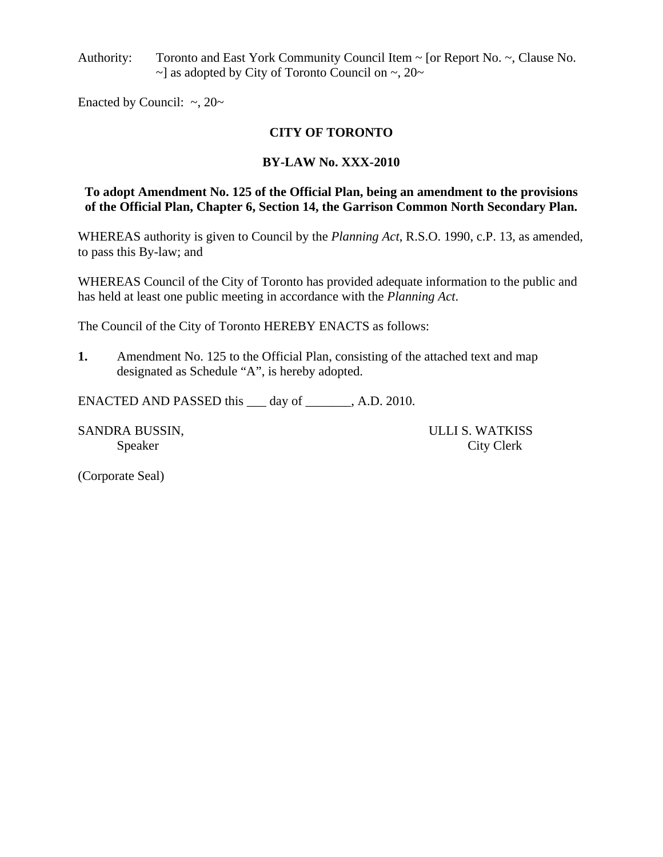Authority: Toronto and East York Community Council Item ~ [or Report No. ~, Clause No.  $\sim$ ] as adopted by City of Toronto Council on  $\sim$ , 20 $\sim$ 

Enacted by Council:  $\sim$ , 20 $\sim$ 

## **CITY OF TORONTO**

## **BY-LAW No. XXX-2010**

### **To adopt Amendment No. 125 of the Official Plan, being an amendment to the provisions of the Official Plan, Chapter 6, Section 14, the Garrison Common North Secondary Plan.**

WHEREAS authority is given to Council by the *Planning Act*, R.S.O. 1990, c.P. 13, as amended, to pass this By-law; and

WHEREAS Council of the City of Toronto has provided adequate information to the public and has held at least one public meeting in accordance with the *Planning Act*.

The Council of the City of Toronto HEREBY ENACTS as follows:

**1.** Amendment No. 125 to the Official Plan, consisting of the attached text and map designated as Schedule "A", is hereby adopted.

ENACTED AND PASSED this \_\_\_ day of \_\_\_\_\_\_\_, A.D. 2010.

SANDRA BUSSIN, ULLI S. WATKISS

Speaker City Clerk

(Corporate Seal)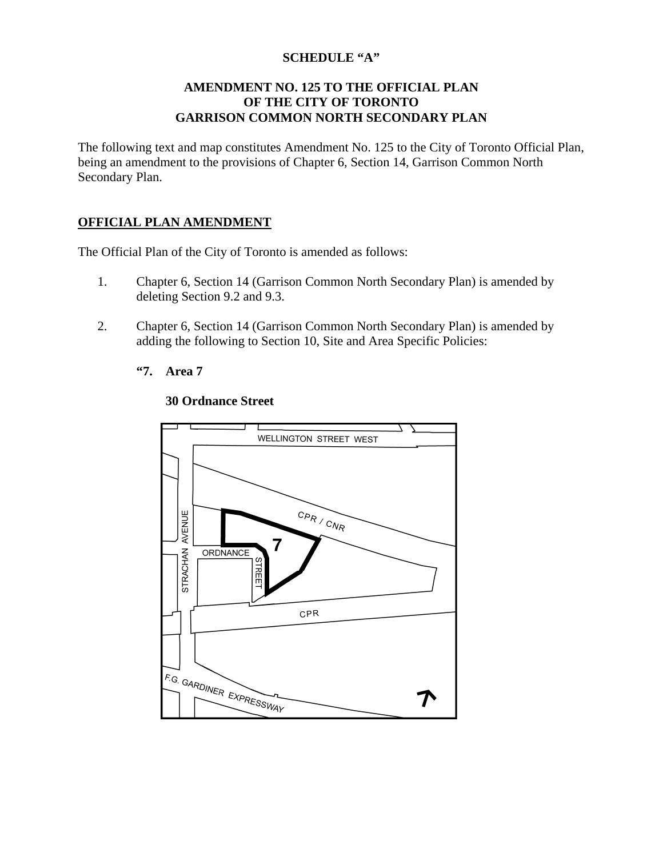# **SCHEDULE "A"**

### **AMENDMENT NO. 125 TO THE OFFICIAL PLAN OF THE CITY OF TORONTO GARRISON COMMON NORTH SECONDARY PLAN**

The following text and map constitutes Amendment No. 125 to the City of Toronto Official Plan, being an amendment to the provisions of Chapter 6, Section 14, Garrison Common North Secondary Plan.

### **OFFICIAL PLAN AMENDMENT**

The Official Plan of the City of Toronto is amended as follows:

- 1. Chapter 6, Section 14 (Garrison Common North Secondary Plan) is amended by deleting Section 9.2 and 9.3.
- 2. Chapter 6, Section 14 (Garrison Common North Secondary Plan) is amended by adding the following to Section 10, Site and Area Specific Policies:
	- **"7. Area 7**



#### **30 Ordnance Street**